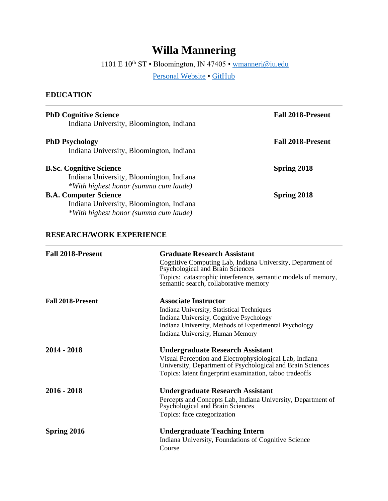# **Willa Mannering**

1101 E  $10^{\text{th}}$  ST • Bloomington, IN 47405 •  $\underline{\text{w}{}{m}{\text{anneri}}@{\text{iu.edu}}}$ 

[Personal Website](https://willamannering.weebly.com/) · [GitHub](https://github.com/willa-mannering)

### **EDUCATION**

| <b>PhD Cognitive Science</b><br>Indiana University, Bloomington, Indiana                                            | <b>Fall 2018-Present</b> |
|---------------------------------------------------------------------------------------------------------------------|--------------------------|
| <b>PhD Psychology</b><br>Indiana University, Bloomington, Indiana                                                   | <b>Fall 2018-Present</b> |
| <b>B.Sc. Cognitive Science</b><br>Indiana University, Bloomington, Indiana<br>*With highest honor (summa cum laude) | Spring 2018              |
| <b>B.A. Computer Science</b><br>Indiana University, Bloomington, Indiana<br>*With highest honor (summa cum laude)   | Spring 2018              |

## **RESEARCH/WORK EXPERIENCE**

| <b>Fall 2018-Present</b> | <b>Graduate Research Assistant</b><br>Cognitive Computing Lab, Indiana University, Department of<br>Psychological and Brain Sciences<br>Topics: catastrophic interference, semantic models of memory,<br>semantic search, collaborative memory |
|--------------------------|------------------------------------------------------------------------------------------------------------------------------------------------------------------------------------------------------------------------------------------------|
| <b>Fall 2018-Present</b> | <b>Associate Instructor</b><br>Indiana University, Statistical Techniques<br>Indiana University, Cognitive Psychology<br>Indiana University, Methods of Experimental Psychology<br>Indiana University, Human Memory                            |
| 2014 - 2018              | <b>Undergraduate Research Assistant</b><br>Visual Perception and Electrophysiological Lab, Indiana<br>University, Department of Psychological and Brain Sciences<br>Topics: latent fingerprint examination, taboo tradeoffs                    |
| 2016 - 2018              | <b>Undergraduate Research Assistant</b><br>Percepts and Concepts Lab, Indiana University, Department of<br>Psychological and Brain Sciences<br>Topics: face categorization                                                                     |
| Spring 2016              | <b>Undergraduate Teaching Intern</b><br>Indiana University, Foundations of Cognitive Science<br>Course                                                                                                                                         |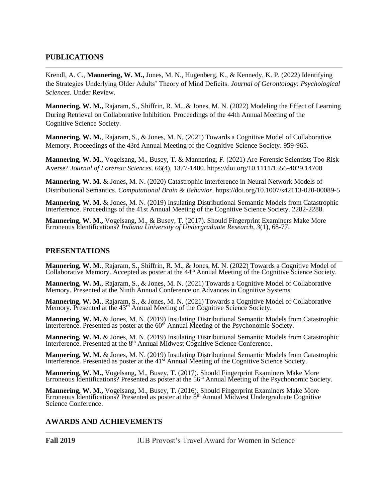#### **PUBLICATIONS**

Krendl, A. C., **Mannering, W. M.,** Jones, M. N., Hugenberg, K., & Kennedy, K. P. (2022) Identifying the Strategies Underlying Older Adults' Theory of Mind Deficits. *Journal of Gerontology: Psychological Sciences.* Under Review.

**Mannering, W. M.,** Rajaram, S., Shiffrin, R. M., & Jones, M. N. (2022) Modeling the Effect of Learning During Retrieval on Collaborative Inhibition. Proceedings of the 44th Annual Meeting of the Cognitive Science Society.

**Mannering, W. M.**, Rajaram, S., & Jones, M. N. (2021) Towards a Cognitive Model of Collaborative Memory. Proceedings of the 43rd Annual Meeting of the Cognitive Science Society. 959-965.

**Mannering, W. M.**, Vogelsang, M., Busey, T. & Mannering, F. (2021) Are Forensic Scientists Too Risk Averse? *Journal of Forensic Sciences*. 66(4), 1377-1400. https://doi.org/10.1111/1556-4029.14700

**Mannering, W. M.** & Jones, M. N. (2020) Catastrophic Interference in Neural Network Models of Distributional Semantics. *Computational Brain & Behavior*. https://doi.org/10.1007/s42113-020-00089-5

**Mannering, W. M.** & Jones, M. N. (2019) Insulating Distributional Semantic Models from Catastrophic Interference. Proceedings of the 41st Annual Meeting of the Cognitive Science Society. 2282-2288.

**Mannering, W. M.,** Vogelsang, M., & Busey, T. (2017). Should Fingerprint Examiners Make More Erroneous Identifications? *Indiana University of Undergraduate Research*, *3*(1), 68-77.

#### **PRESENTATIONS**

**Mannering, W. M.**, Rajaram, S., Shiffrin, R. M., & Jones, M. N. (2022) Towards a Cognitive Model of Collaborative Memory. Accepted as poster at the 44<sup>th</sup> Annual Meeting of the Cognitive Science Society.

**Mannering, W. M.**, Rajaram, S., & Jones, M. N. (2021) Towards a Cognitive Model of Collaborative Memory. Presented at the Ninth Annual Conference on Advances in Cognitive Systems

**Mannering, W. M.**, Rajaram, S., & Jones, M. N. (2021) Towards a Cognitive Model of Collaborative Memory. Presented at the 43<sup>rd</sup> Annual Meeting of the Cognitive Science Society.

**Mannering, W. M.** & Jones, M. N. (2019) Insulating Distributional Semantic Models from Catastrophic Interference. Presented as poster at the  $60<sup>th</sup>$  Annual Meeting of the Psychonomic Society.

**Mannering, W. M.** & Jones, M. N. (2019) Insulating Distributional Semantic Models from Catastrophic Interference. Presented at the  $8<sup>th</sup>$  Annual Midwest Cognitive Science Conference.

**Mannering, W. M.** & Jones, M. N. (2019) Insulating Distributional Semantic Models from Catastrophic Interference. Presented as poster at the 41<sup>st</sup> Annual Meeting of the Cognitive Science Society.

**Mannering, W. M.,** Vogelsang, M., Busey, T. (2017). Should Fingerprint Examiners Make More Erroneous Identifications? Presented as poster at the 56<sup>th</sup> Annual Meeting of the Psychonomic Society.

**Mannering, W. M.,** Vogelsang, M., Busey, T. (2016). Should Fingerprint Examiners Make More Erroneous Identifications? Presented as poster at the 8<sup>th</sup> Annual Midwest Undergraduate Cognitive Science Conference.

#### **AWARDS AND ACHIEVEMENTS**